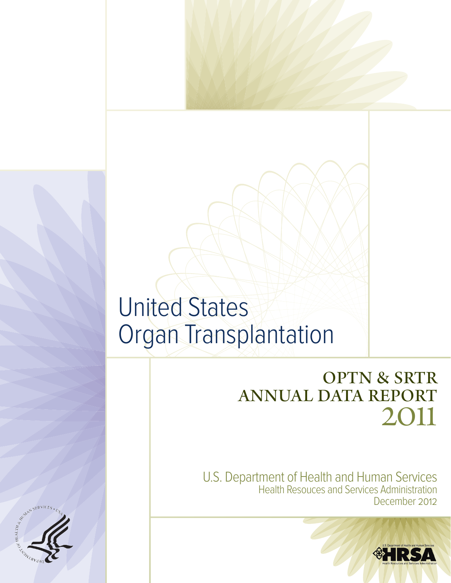# United States Organ Transplantation

# OPTN & SRTR Annual Data Report 2011

U.S. Department of Health and Human Services Health Resouces and Services Administration December 2012



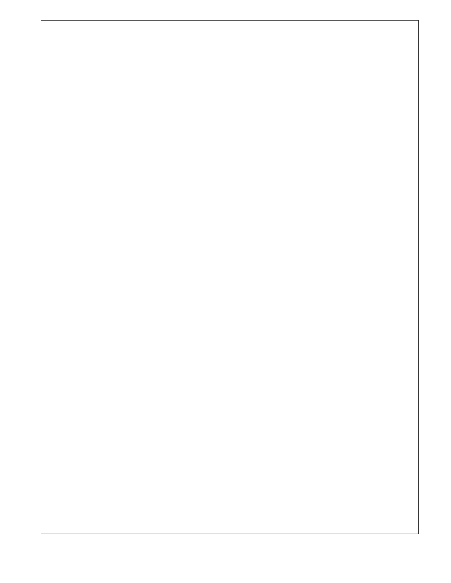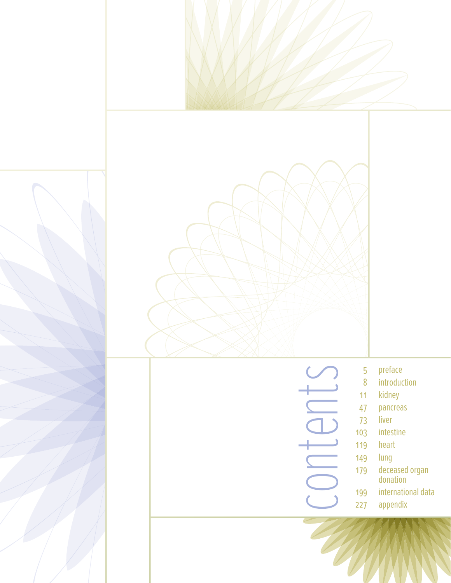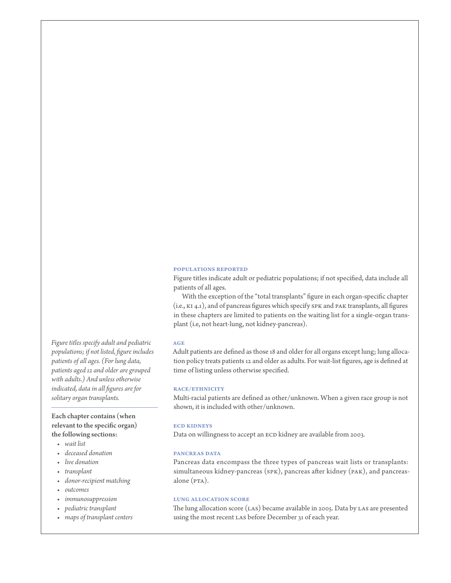#### populations reported

Figure titles indicate adult or pediatric populations; if not specified, data include all patients of all ages.

With the exception of the "total transplants" figure in each organ-specific chapter (i.e., KI 4.1), and of pancreas figures which specify SPK and PAK transplants, all figures in these chapters are limited to patients on the waiting list for a single-organ transplant (i.e, not heart-lung, not kidney-pancreas).

#### **AGE**

Adult patients are defined as those 18 and older for all organs except lung; lung allocation policy treats patients 12 and older as adults. For wait-list figures, age is defined at time of listing unless otherwise specified.

#### race/ethnicity

Multi-racial patients are defined as other/unknown. When a given race group is not shown, it is included with other/unknown.

#### ECD kidneys

Data on willingness to accept an ECD kidney are available from 2003.

## pancreas data

Pancreas data encompass the three types of pancreas wait lists or transplants: simultaneous kidney-pancreas (SPK), pancreas after kidney (PAK), and pancreasalone (PTA).

#### lung allocation score

The lung allocation score (LAS) became available in 2005. Data by LAS are presented using the most recent LAS before December 31 of each year.

*Figure titles specify adult and pediatric populations; if not listed, figure includes patients of all ages. (For lung data, patients aged 12 and older are grouped with adults.) And unless otherwise indicated, data in all figures are for solitary organ transplants.*

# Each chapter contains (when relevant to the specific organ) the following sections:

- *wait list*
- *deceased donation*
- *live donation*
- *transplant*
- *donor-recipient matching*
- *outcomes*
- *immunosuppression*
- *pediatric transplant*
- *maps of transplant centers*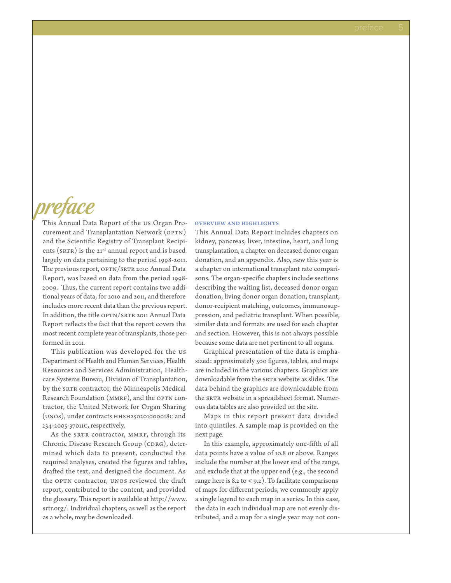# preface

This Annual Data Report of the US Organ Procurement and Transplantation Network (OPTN) and the Scientific Registry of Transplant Recipients (SRTR) is the 21st annual report and is based largely on data pertaining to the period 1998-2011. The previous report, OPTN/SRTR 2010 Annual Data Report, was based on data from the period 1998- 2009. Thus, the current report contains two additional years of data, for 2010 and 2011, and therefore includes more recent data than the previous report. In addition, the title OPTN/SRTR 2011 Annual Data Report reflects the fact that the report covers the most recent complete year of transplants, those performed in 2011.

This publication was developed for the US Department of Health and Human Services, Health Resources and Services Administration, Healthcare Systems Bureau, Division of Transplantation, by the SRTR contractor, the Minneapolis Medical Research Foundation (MMRF), and the OPTN contractor, the United Network for Organ Sharing (UNOS), under contracts HHSH250201000018C and 234-2005-37011C, respectively.

As the SRTR contractor, MMRF, through its Chronic Disease Research Group (CDRG), determined which data to present, conducted the required analyses, created the figures and tables, drafted the text, and designed the document. As the OPTN contractor, UNOS reviewed the draft report, contributed to the content, and provided the glossary. This report is available at http://www. srtr.org/. Individual chapters, as well as the report as a whole, may be downloaded.

#### Overview and Highlights

This Annual Data Report includes chapters on kidney, pancreas, liver, intestine, heart, and lung transplantation, a chapter on deceased donor organ donation, and an appendix. Also, new this year is a chapter on international transplant rate comparisons. The organ-specific chapters include sections describing the waiting list, deceased donor organ donation, living donor organ donation, transplant, donor-recipient matching, outcomes, immunosuppression, and pediatric transplant. When possible, similar data and formats are used for each chapter and section. However, this is not always possible because some data are not pertinent to all organs.

Graphical presentation of the data is emphasized: approximately 500 figures, tables, and maps are included in the various chapters. Graphics are downloadable from the SRTR website as slides. The data behind the graphics are downloadable from the SRTR website in a spreadsheet format. Numerous data tables are also provided on the site.

Maps in this report present data divided into quintiles. A sample map is provided on the next page.

In this example, approximately one-fifth of all data points have a value of 10.8 or above. Ranges include the number at the lower end of the range, and exclude that at the upper end (e.g., the second range here is 8.2 to <  $9.2$ ). To facilitate comparisons of maps for different periods, we commonly apply a single legend to each map in a series. In this case, the data in each individual map are not evenly distributed, and a map for a single year may not con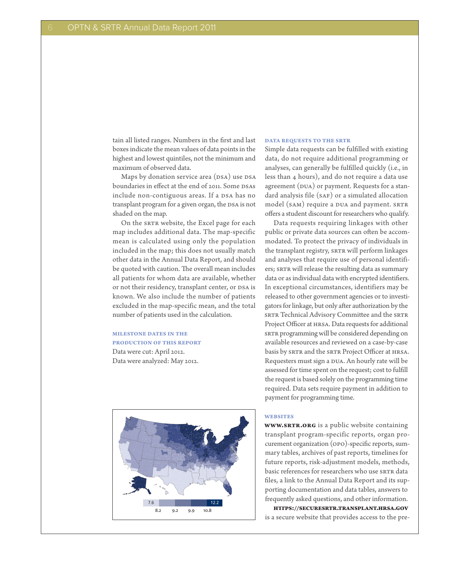tain all listed ranges. Numbers in the first and last boxes indicate the mean values of data points in the highest and lowest quintiles, not the minimum and maximum of observed data.

Maps by donation service area (DSA) use DSA boundaries in effect at the end of 2011. Some DSAs include non-contiguous areas. If a DSA has no transplant program for a given organ, the DSA is not shaded on the map.

On the SRTR website, the Excel page for each map includes additional data. The map-specific mean is calculated using only the population included in the map; this does not usually match other data in the Annual Data Report, and should be quoted with caution. The overall mean includes all patients for whom data are available, whether or not their residency, transplant center, or DSA is known. We also include the number of patients excluded in the map-specific mean, and the total number of patients used in the calculation.

#### Milestone Dates in the Production of This Report

Data were cut: April 2012. Data were analyzed: May 2012.



#### DATA REQUESTS TO THE SRTR

Simple data requests can be fulfilled with existing data, do not require additional programming or analyses, can generally be fulfilled quickly (i.e., in less than 4 hours), and do not require a data use agreement (DUA) or payment. Requests for a standard analysis file (SAF) or a simulated allocation model (SAM) require a DUA and payment. SRTR offers a student discount for researchers who qualify.

Data requests requiring linkages with other public or private data sources can often be accommodated. To protect the privacy of individuals in the transplant registry, SRTR will perform linkages and analyses that require use of personal identifiers; SRTR will release the resulting data as summary data or as individual data with encrypted identifiers. In exceptional circumstances, identifiers may be released to other government agencies or to investigators for linkage, but only after authorization by the SRTR Technical Advisory Committee and the SRTR Project Officer at HRSA. Data requests for additional SRTR programming will be considered depending on available resources and reviewed on a case-by-case basis by SRTR and the SRTR Project Officer at HRSA. Requesters must sign a DUA. An hourly rate will be assessed for time spent on the request; cost to fulfill the request is based solely on the programming time required. Data sets require payment in addition to payment for programming time.

#### **WEBSITES**

**www.srtr.org** is a public website containing transplant program-specific reports, organ procurement organization (OPO)-specific reports, summary tables, archives of past reports, timelines for future reports, risk-adjustment models, methods, basic references for researchers who use SRTR data files, a link to the Annual Data Report and its supporting documentation and data tables, answers to frequently asked questions, and other information.

**https://securesrtr.transplant.hrsa.gov** 8.2 9.2 9.9 10.8 **HIPS://SECURESRIR.TRANSPLANT.HRSA.GOV**<br>is a secure website that provides access to the pre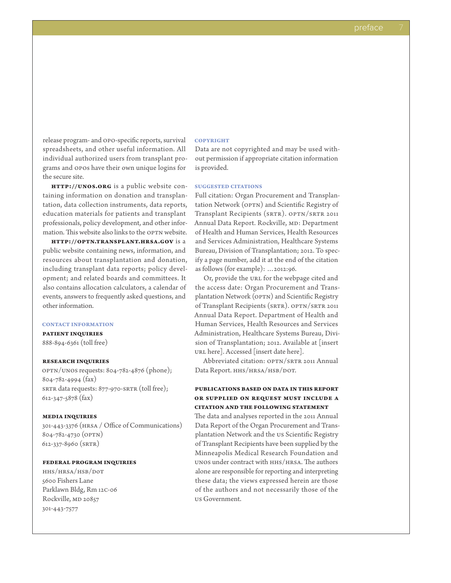release program- and OPO-specific reports, survival spreadsheets, and other useful information. All individual authorized users from transplant programs and OPOs have their own unique logins for the secure site.

**http://unos.org** is a public website containing information on donation and transplantation, data collection instruments, data reports, education materials for patients and transplant professionals, policy development, and other information. This website also links to the OPTN website.

**http://optn.transplant.hrsa.gov** is a public website containing news, information, and resources about transplantation and donation, including transplant data reports; policy development; and related boards and committees. It also contains allocation calculators, a calendar of events, answers to frequently asked questions, and other information.

## Contact Information

**Patient inquiries**

888-894-6361 (toll free)

#### **Research inquiries**

OPTN/UNOS requests: 804-782-4876 (phone); 804-782-4994 (fax) SRTR data requests: 877-970-SRTR (toll free); 612-347-5878 (fax)

# **Media inquiries**

301-443-3376 (HRSA / Office of Communications) 804-782-4730 (OPTN) 612-337-8960 (SRTR)

#### **Federal program inquiries**

HHS/HRSA/HSB/DoT 5600 Fishers Lane Parklawn Bldg, Rm 12C-06 Rockville, MD 20857 301-443-7577

#### **COPYRIGHT**

Data are not copyrighted and may be used without permission if appropriate citation information is provided.

#### Suggested Citations

Full citation: Organ Procurement and Transplantation Network (OPTN) and Scientific Registry of Transplant Recipients (SRTR). OPTN/SRTR 2011 Annual Data Report. Rockville, MD: Department of Health and Human Services, Health Resources and Services Administration, Healthcare Systems Bureau, Division of Transplantation; 2012. To specify a page number, add it at the end of the citation as follows (for example): …2012:96.

Or, provide the URL for the webpage cited and the access date: Organ Procurement and Transplantation Network (OPTN) and Scientific Registry of Transplant Recipients (SRTR). OPTN/SRTR 2011 Annual Data Report. Department of Health and Human Services, Health Resources and Services Administration, Healthcare Systems Bureau, Division of Transplantation; 2012. Available at [insert URL here]. Accessed [insert date here].

Abbreviated citation: OPTN/SRTR 2011 Annual Data Report. HHS/HRSA/HSB/DOT.

# **Publications based on data in this report or supplied on request must include a citation and the following statement**

The data and analyses reported in the 2011 Annual Data Report of the Organ Procurement and Transplantation Network and the US Scientific Registry of Transplant Recipients have been supplied by the Minneapolis Medical Research Foundation and UNOS under contract with HHS/HRSA. The authors alone are responsible for reporting and interpreting these data; the views expressed herein are those of the authors and not necessarily those of the US Government.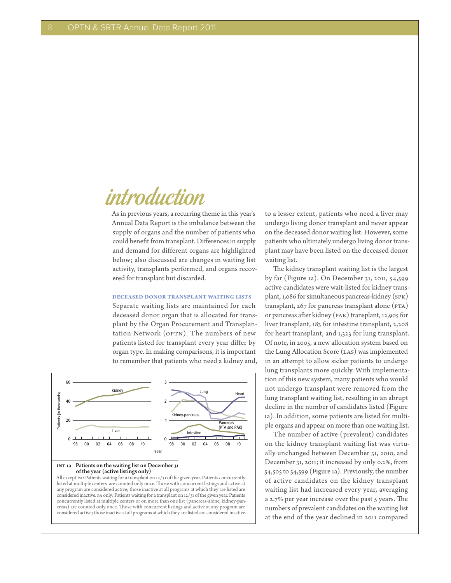# introduction

As in previous years, a recurring theme in this year's Annual Data Report is the imbalance between the supply of organs and the number of patients who could benefit from transplant. Differences in supply and demand for different organs are highlighted below; also discussed are changes in waiting list activity, transplants performed, and organs recovered for transplant but discarded.

# Deceased donor transplant waiting lists

Separate waiting lists are maintained for each deceased donor organ that is allocated for transplant by the Organ Procurement and Transplantation Network (OPTN). The numbers of new patients listed for transplant every year differ by organ type. In making comparisons, it is important to remember that patients who need a kidney and,



#### INT 1a Patients on the waiting list on December 31 of the year (active listings only)

All except PA: Patients waiting for a transplant on 12/31 of the given year. Patients concurrently listed at multiple centers are counted only once. Those with concurrent listings and active at any program are considered active; those inactive at all programs at which they are listed are considered inactive. PA only: Patients waiting for a transplant on 12/31 of the given year. Patients concurrently listed at multiple centers or on more than one list (pancreas-alone, kidney-pancreas) are counted only once. Those with concurrent listings and active at any program are considered active; those inactive at all programs at which they are listed are considered inactive. to a lesser extent, patients who need a liver may undergo living donor transplant and never appear on the deceased donor waiting list. However, some patients who ultimately undergo living donor transplant may have been listed on the deceased donor waiting list.

The kidney transplant waiting list is the largest by far (Figure 1a). On December 31, 2011, 54,599 active candidates were wait-listed for kidney transplant, 1,086 for simultaneous pancreas-kidney (SPK) transplant, 267 for pancreas transplant alone (PTA) or pancreas after kidney (PAK) transplant, 12,905 for liver transplant, 183 for intestine transplant, 2,208 for heart transplant, and 1,323 for lung transplant. Of note, in 2005, a new allocation system based on the Lung Allocation Score (LAS) was implemented in an attempt to allow sicker patients to undergo lung transplants more quickly. With implementation of this new system, many patients who would not undergo transplant were removed from the lung transplant waiting list, resulting in an abrupt decline in the number of candidates listed (Figure 1a). In addition, some patients are listed for multiple organs and appear on more than one waiting list.

The number of active (prevalent) candidates on the kidney transplant waiting list was virtually unchanged between December 31, 2010, and December 31, 2011; it increased by only 0.2%, from 54,505 to 54,599 (Figure 1a). Previously, the number of active candidates on the kidney transplant waiting list had increased every year, averaging a 2.7% per year increase over the past 5 years. The numbers of prevalent candidates on the waiting list at the end of the year declined in 2011 compared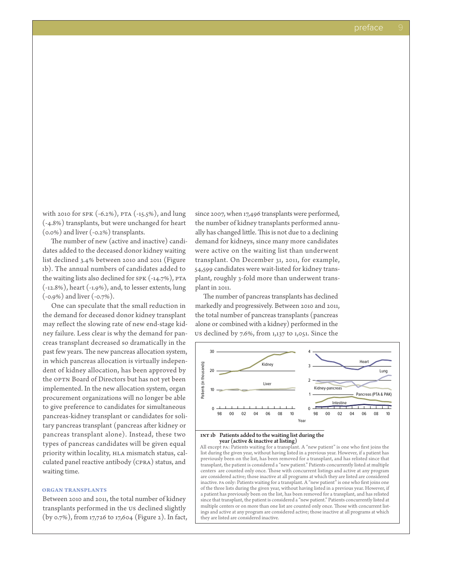with 2010 for SPK (-6.2%), PTA (-15.5%), and lung (-4.8%) transplants, but were unchanged for heart (0.0%) and liver (-0.2%) transplants.

The number of new (active and inactive) candidates added to the deceased donor kidney waiting list declined 3.4% between 2010 and 2011 (Figure 1b). The annual numbers of candidates added to the waiting lists also declined for SPK (-14.7%), PTA (-12.8%), heart (-1.9%), and, to lesser extents, lung (-0.9%) and liver (-0.7%).

One can speculate that the small reduction in the demand for deceased donor kidney transplant may reflect the slowing rate of new end-stage kidney failure. Less clear is why the demand for pancreas transplant decreased so dramatically in the past few years. The new pancreas allocation system, in which pancreas allocation is virtually independent of kidney allocation, has been approved by the OPTN Board of Directors but has not yet been implemented. In the new allocation system, organ procurement organizations will no longer be able to give preference to candidates for simultaneous pancreas-kidney transplant or candidates for solitary pancreas transplant (pancreas after kidney or pancreas transplant alone). Instead, these two types of pancreas candidates will be given equal priority within locality, HLA mismatch status, calculated panel reactive antibody (CPRA) status, and waiting time.

## Organ Transplants

Between 2010 and 2011, the total number of kidney transplants performed in the US declined slightly (by 0.7%), from 17,726 to 17,604 (Figure 2). In fact, since 2007, when 17,496 transplants were performed, the number of kidney transplants performed annually has changed little. This is not due to a declining demand for kidneys, since many more candidates were active on the waiting list than underwent transplant. On December 31, 2011, for example, 54,599 candidates were wait-listed for kidney transplant, roughly 3-fold more than underwent transplant in 2011.

The number of pancreas transplants has declined markedly and progressively. Between 2010 and 2011, the total number of pancreas transplants (pancreas alone or combined with a kidney) performed in the US declined by 7.6%, from 1,137 to 1,051. Since the



#### INT 1b Patients added to the waiting list during the year (active & inactive at listing)

All except PA: Patients waiting for a transplant. A "new patient" is one who first joins the list during the given year, without having listed in a previous year. However, if a patient has previously been on the list, has been removed for a transplant, and has relisted since that transplant, the patient is considered a "new patient." Patients concurrently listed at multiple centers are counted only once. Those with concurrent listings and active at any program are considered active; those inactive at all programs at which they are listed are considered inactive. PA only: Patients waiting for a transplant. A "new patient" is one who first joins one of the three lists during the given year, without having listed in a previous year. However, if a patient has previously been on the list, has been removed for a transplant, and has relisted since that transplant, the patient is considered a "new patient." Patients concurrently listed at multiple centers or on more than one list are counted only once. Those with concurrent listings and active at any program are considered active; those inactive at all programs at which they are listed are considered inactive.